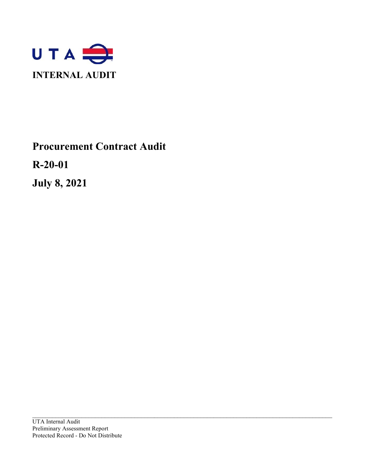

# **Procurement Contract Audit**

**R-20-01**

**July 8, 2021**

\_\_\_\_\_\_\_\_\_\_\_\_\_\_\_\_\_\_\_\_\_\_\_\_\_\_\_\_\_\_\_\_\_\_\_\_\_\_\_\_\_\_\_\_\_\_\_\_\_\_\_\_\_\_\_\_\_\_\_\_\_\_\_\_\_\_\_\_\_\_\_\_\_\_\_\_\_\_\_\_\_\_\_\_\_\_\_\_\_\_\_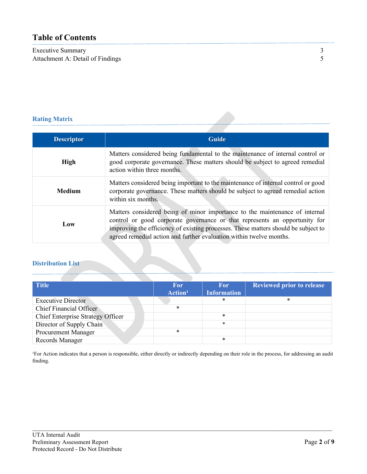# **Table of Contents**

Executive Summary<br>
Attachment A: Detail of Findings<br>
5 Attachment A: Detail of Findings

| <b>Descriptor</b> | <b>Guide</b>                                                                                                                                                                                                                                                                                                           |
|-------------------|------------------------------------------------------------------------------------------------------------------------------------------------------------------------------------------------------------------------------------------------------------------------------------------------------------------------|
| <b>High</b>       | Matters considered being fundamental to the maintenance of internal control or<br>good corporate governance. These matters should be subject to agreed remedial<br>action within three months.                                                                                                                         |
| <b>Medium</b>     | Matters considered being important to the maintenance of internal control or good<br>corporate governance. These matters should be subject to agreed remedial action<br>within six months.                                                                                                                             |
| Low               | Matters considered being of minor importance to the maintenance of internal<br>control or good corporate governance or that represents an opportunity for<br>improving the efficiency of existing processes. These matters should be subject to<br>agreed remedial action and further evaluation within twelve months. |

# **Distribution List**

| <b>Title</b>                             | <b>For</b>          | <b>For</b>         | <b>Reviewed prior to release</b> |
|------------------------------------------|---------------------|--------------------|----------------------------------|
|                                          | Action <sup>1</sup> | <b>Information</b> |                                  |
| <b>Executive Director</b>                |                     | $\ast$             | *                                |
| <b>Chief Financial Officer</b>           | *                   |                    |                                  |
| <b>Chief Enterprise Strategy Officer</b> |                     | $\ast$             |                                  |
| Director of Supply Chain                 |                     | $\ast$             |                                  |
| Procurement Manager                      | $\ast$              |                    |                                  |
| Records Manager                          |                     | *                  |                                  |

<sup>1</sup>For Action indicates that a person is responsible, either directly or indirectly depending on their role in the process, for addressing an audit finding.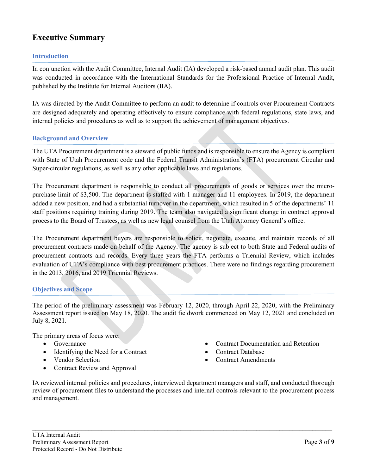# **Executive Summary**

# **Introduction**

In conjunction with the Audit Committee, Internal Audit (IA) developed a risk-based annual audit plan. This audit was conducted in accordance with the International Standards for the Professional Practice of Internal Audit, published by the Institute for Internal Auditors (IIA).

IA was directed by the Audit Committee to perform an audit to determine if controls over Procurement Contracts are designed adequately and operating effectively to ensure compliance with federal regulations, state laws, and internal policies and procedures as well as to support the achievement of management objectives.

# **Background and Overview**

The UTA Procurement department is a steward of public funds and is responsible to ensure the Agency is compliant with State of Utah Procurement code and the Federal Transit Administration's (FTA) procurement Circular and Super-circular regulations, as well as any other applicable laws and regulations.

The Procurement department is responsible to conduct all procurements of goods or services over the micropurchase limit of \$3,500. The department is staffed with 1 manager and 11 employees. In 2019, the department added a new position, and had a substantial turnover in the department, which resulted in 5 of the departments' 11 staff positions requiring training during 2019. The team also navigated a significant change in contract approval process to the Board of Trustees, as well as new legal counsel from the Utah Attorney General's office.

The Procurement department buyers are responsible to solicit, negotiate, execute, and maintain records of all procurement contracts made on behalf of the Agency. The agency is subject to both State and Federal audits of procurement contracts and records. Every three years the FTA performs a Triennial Review, which includes evaluation of UTA's compliance with best procurement practices. There were no findings regarding procurement in the 2013, 2016, and 2019 Triennial Reviews.

# **Objectives and Scope**

The period of the preliminary assessment was February 12, 2020, through April 22, 2020, with the Preliminary Assessment report issued on May 18, 2020. The audit fieldwork commenced on May 12, 2021 and concluded on July 8, 2021.

The primary areas of focus were:

- Governance
- Identifying the Need for a Contract
- Vendor Selection
- Contract Review and Approval
- Contract Documentation and Retention
- Contract Database
- Contract Amendments

IA reviewed internal policies and procedures, interviewed department managers and staff, and conducted thorough review of procurement files to understand the processes and internal controls relevant to the procurement process and management.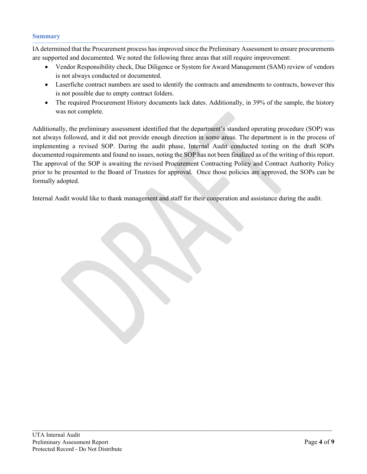#### **Summary**

IA determined that the Procurement process has improved since the Preliminary Assessment to ensure procurements are supported and documented. We noted the following three areas that still require improvement:

- Vendor Responsibility check, Due Diligence or System for Award Management (SAM) review of vendors is not always conducted or documented.
- Laserfiche contract numbers are used to identify the contracts and amendments to contracts, however this is not possible due to empty contract folders.
- The required Procurement History documents lack dates. Additionally, in 39% of the sample, the history was not complete.

Additionally, the preliminary assessment identified that the department's standard operating procedure (SOP) was not always followed, and it did not provide enough direction in some areas. The department is in the process of implementing a revised SOP. During the audit phase, Internal Audit conducted testing on the draft SOPs documented requirements and found no issues, noting the SOP has not been finalized as of the writing of this report. The approval of the SOP is awaiting the revised Procurement Contracting Policy and Contract Authority Policy prior to be presented to the Board of Trustees for approval. Once those policies are approved, the SOPs can be formally adopted.

Internal Audit would like to thank management and staff for their cooperation and assistance during the audit.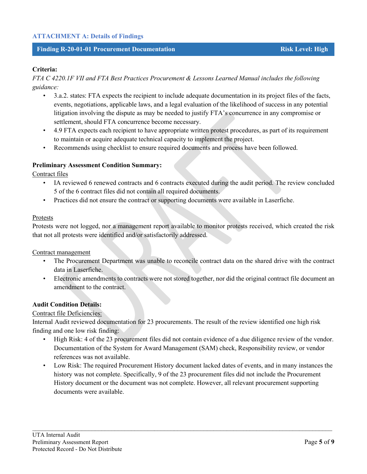# **ATTACHMENT A: Details of Findings**

#### **Finding R-20-01-01 Procurement Documentation Risk Level: High**

# **Criteria:**

*FTA C 4220.1F VII and FTA Best Practices Procurement & Lessons Learned Manual includes the following guidance:* 

- 3.a.2. states: FTA expects the recipient to include adequate documentation in its project files of the facts, events, negotiations, applicable laws, and a legal evaluation of the likelihood of success in any potential litigation involving the dispute as may be needed to justify FTA's concurrence in any compromise or settlement, should FTA concurrence become necessary.
- 4.9 FTA expects each recipient to have appropriate written protest procedures, as part of its requirement to maintain or acquire adequate technical capacity to implement the project.
- Recommends using checklist to ensure required documents and process have been followed.

#### **Preliminary Assessment Condition Summary:**

Contract files

- IA reviewed 6 renewed contracts and 6 contracts executed during the audit period. The review concluded 5 of the 6 contract files did not contain all required documents.
- Practices did not ensure the contract or supporting documents were available in Laserfiche.

#### Protests

Protests were not logged, nor a management report available to monitor protests received, which created the risk that not all protests were identified and/or satisfactorily addressed.

#### Contract management

- The Procurement Department was unable to reconcile contract data on the shared drive with the contract data in Laserfiche.
- Electronic amendments to contracts were not stored together, nor did the original contract file document an amendment to the contract.

#### **Audit Condition Details:**

#### Contract file Deficiencies:

Internal Audit reviewed documentation for 23 procurements. The result of the review identified one high risk finding and one low risk finding:

- High Risk: 4 of the 23 procurement files did not contain evidence of a due diligence review of the vendor. Documentation of the System for Award Management (SAM) check, Responsibility review, or vendor references was not available.
- Low Risk: The required Procurement History document lacked dates of events, and in many instances the history was not complete. Specifically, 9 of the 23 procurement files did not include the Procurement History document or the document was not complete. However, all relevant procurement supporting documents were available.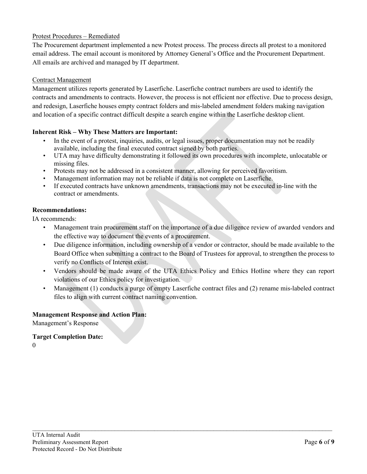# Protest Procedures – Remediated

The Procurement department implemented a new Protest process. The process directs all protest to a monitored email address. The email account is monitored by Attorney General's Office and the Procurement Department. All emails are archived and managed by IT department.

# Contract Management

Management utilizes reports generated by Laserfiche. Laserfiche contract numbers are used to identify the contracts and amendments to contracts. However, the process is not efficient nor effective. Due to process design, and redesign, Laserfiche houses empty contract folders and mis-labeled amendment folders making navigation and location of a specific contract difficult despite a search engine within the Laserfiche desktop client.

# **Inherent Risk – Why These Matters are Important:**

- In the event of a protest, inquiries, audits, or legal issues, proper documentation may not be readily available, including the final executed contract signed by both parties.
- UTA may have difficulty demonstrating it followed its own procedures with incomplete, unlocatable or missing files.
- Protests may not be addressed in a consistent manner, allowing for perceived favoritism.
- Management information may not be reliable if data is not complete on Laserfiche.
- If executed contracts have unknown amendments, transactions may not be executed in-line with the contract or amendments.

#### **Recommendations:**

IA recommends:

- Management train procurement staff on the importance of a due diligence review of awarded vendors and the effective way to document the events of a procurement.
- Due diligence information, including ownership of a vendor or contractor, should be made available to the Board Office when submitting a contract to the Board of Trustees for approval, to strengthen the process to verify no Conflicts of Interest exist.
- Vendors should be made aware of the UTA Ethics Policy and Ethics Hotline where they can report violations of our Ethics policy for investigation.
- Management (1) conducts a purge of empty Laserfiche contract files and (2) rename mis-labeled contract files to align with current contract naming convention.

 $\mathcal{L}_\mathcal{L} = \mathcal{L}_\mathcal{L} = \mathcal{L}_\mathcal{L} = \mathcal{L}_\mathcal{L} = \mathcal{L}_\mathcal{L} = \mathcal{L}_\mathcal{L} = \mathcal{L}_\mathcal{L} = \mathcal{L}_\mathcal{L} = \mathcal{L}_\mathcal{L} = \mathcal{L}_\mathcal{L} = \mathcal{L}_\mathcal{L} = \mathcal{L}_\mathcal{L} = \mathcal{L}_\mathcal{L} = \mathcal{L}_\mathcal{L} = \mathcal{L}_\mathcal{L} = \mathcal{L}_\mathcal{L} = \mathcal{L}_\mathcal{L}$ 

#### **Management Response and Action Plan:**

Management's Response

#### **Target Completion Date:**

 $\theta$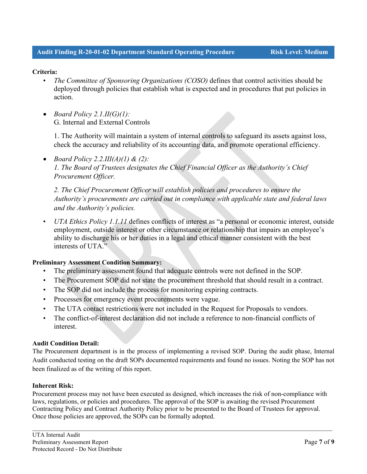# **Criteria:**

- *The Committee of Sponsoring Organizations (COSO)* defines that control activities should be deployed through policies that establish what is expected and in procedures that put policies in action.
- *Board Policy 2.1.II(G)(1):* G. Internal and External Controls

1. The Authority will maintain a system of internal controls to safeguard its assets against loss, check the accuracy and reliability of its accounting data, and promote operational efficiency.

• *Board Policy 2.2.III(A)(1) & (2): 1. The Board of Trustees designates the Chief Financial Officer as the Authority's Chief Procurement Officer.* 

*2. The Chief Procurement Officer will establish policies and procedures to ensure the Authority's procurements are carried out in compliance with applicable state and federal laws and the Authority's policies.*

• *UTA Ethics Policy 1.1.11* defines conflicts of interest as "a personal or economic interest, outside employment, outside interest or other circumstance or relationship that impairs an employee's ability to discharge his or her duties in a legal and ethical manner consistent with the best interests of UTA."

# **Preliminary Assessment Condition Summary:**

- The preliminary assessment found that adequate controls were not defined in the SOP.
- The Procurement SOP did not state the procurement threshold that should result in a contract.
- The SOP did not include the process for monitoring expiring contracts.
- Processes for emergency event procurements were vague.
- The UTA contact restrictions were not included in the Request for Proposals to vendors.
- The conflict-of-interest declaration did not include a reference to non-financial conflicts of interest.

#### **Audit Condition Detail:**

The Procurement department is in the process of implementing a revised SOP. During the audit phase, Internal Audit conducted testing on the draft SOPs documented requirements and found no issues. Noting the SOP has not been finalized as of the writing of this report.

#### **Inherent Risk:**

Procurement process may not have been executed as designed, which increases the risk of non-compliance with laws, regulations, or policies and procedures. The approval of the SOP is awaiting the revised Procurement Contracting Policy and Contract Authority Policy prior to be presented to the Board of Trustees for approval. Once those policies are approved, the SOPs can be formally adopted.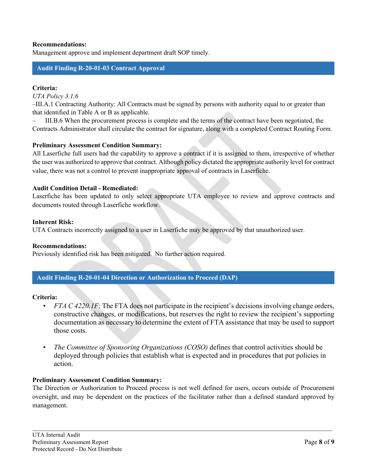# **Recommendations:**

Management approve and implement department draft SOP timely.

# **Audit Finding R-20-01-03 Contract Approval**

#### **Criteria:**

*UTA Policy 3.1.6* 

–III.A.1 Contracting Authority: All Contracts must be signed by persons with authority equal to or greater than that identified in Table A or B as applicable.

– III.B.6 When the procurement process is complete and the terms of the contract have been negotiated, the Contracts Administrator shall circulate the contract for signature, along with a completed Contract Routing Form.

#### **Preliminary Assessment Condition Summary:**

All Laserfiche full users had the capability to approve a contract if it is assigned to them, irrespective of whether the user was authorized to approve that contract. Although policy dictated the appropriate authority level for contract value, there was not a control to prevent inappropriate approval of contracts in Laserfiche.

#### **Audit Condition Detail - Remediated:**

Laserfiche has been updated to only select appropriate UTA employee to review and approve contracts and documents routed through Laserfiche workflow.

#### **Inherent Risk:**

UTA Contracts incorrectly assigned to a user in Laserfiche may be approved by that unauthorized user.

#### **Recommendations:**

Previously identified risk has been mitigated. No further action required.

# **Audit Finding R-20-01-04 Direction or Authorization to Proceed (DAP)**

#### **Criteria:**

- *FTA C 4220.1F*: The FTA does not participate in the recipient's decisions involving change orders, constructive changes, or modifications, but reserves the right to review the recipient's supporting documentation as necessary to determine the extent of FTA assistance that may be used to support those costs.
- *The Committee of Sponsoring Organizations (COSO)* defines that control activities should be deployed through policies that establish what is expected and in procedures that put policies in action.

#### **Preliminary Assessment Condition Summary:**

The Direction or Authorization to Proceed process is not well defined for users, occurs outside of Procurement oversight, and may be dependent on the practices of the facilitator rather than a defined standard approved by management.